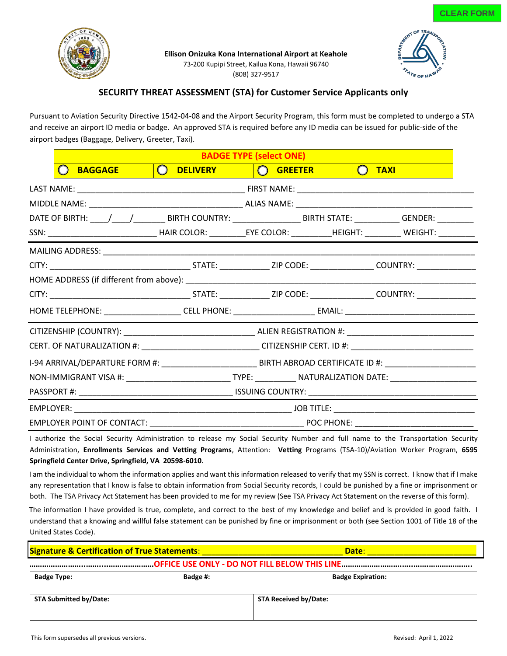

**Ellison Onizuka Kona International Airport at Keahole**

73-200 Kupipi Street, Kailua Kona, Hawaii 96740 (808) 327-9517



## **SECURITY THREAT ASSESSMENT (STA) for Customer Service Applicants only**

Pursuant to Aviation Security Directive 1542-04-08 and the Airport Security Program, this form must be completed to undergo a STA and receive an airport ID media or badge. An approved STA is required before any ID media can be issued for public-side of the airport badges (Baggage, Delivery, Greeter, Taxi).

| <b>BADGE TYPE (select ONE)</b>                                                                                         |                                                                                                                |                   |  |                                                              |  |  |  |
|------------------------------------------------------------------------------------------------------------------------|----------------------------------------------------------------------------------------------------------------|-------------------|--|--------------------------------------------------------------|--|--|--|
| <b>BAGGAGE</b>                                                                                                         | ( ) DELIVERY <b>Andre</b>                                                                                      | <b>CO</b> GREETER |  | <b>TAXI</b><br>$\left( \begin{array}{c} \end{array} \right)$ |  |  |  |
|                                                                                                                        |                                                                                                                |                   |  |                                                              |  |  |  |
|                                                                                                                        |                                                                                                                |                   |  |                                                              |  |  |  |
| DATE OF BIRTH: ____/____/____________BIRTH COUNTRY: _____________________BIRTH STATE: _____________GENDER: _________   |                                                                                                                |                   |  |                                                              |  |  |  |
| SSN: _________________________________HAIR COLOR: ___________EYE COLOR: ___________HEIGHT: _________ WEIGHT: _________ |                                                                                                                |                   |  |                                                              |  |  |  |
|                                                                                                                        |                                                                                                                |                   |  |                                                              |  |  |  |
|                                                                                                                        |                                                                                                                |                   |  |                                                              |  |  |  |
|                                                                                                                        |                                                                                                                |                   |  |                                                              |  |  |  |
|                                                                                                                        |                                                                                                                |                   |  |                                                              |  |  |  |
|                                                                                                                        |                                                                                                                |                   |  |                                                              |  |  |  |
|                                                                                                                        |                                                                                                                |                   |  |                                                              |  |  |  |
|                                                                                                                        | CERT. OF NATURALIZATION #: _______________________________CITIZENSHIP CERT. ID #: ____________________________ |                   |  |                                                              |  |  |  |
|                                                                                                                        | I-94 ARRIVAL/DEPARTURE FORM #: ________________________________BIRTH ABROAD CERTIFICATE ID #: ________________ |                   |  |                                                              |  |  |  |
|                                                                                                                        |                                                                                                                |                   |  |                                                              |  |  |  |
|                                                                                                                        |                                                                                                                |                   |  |                                                              |  |  |  |
|                                                                                                                        |                                                                                                                |                   |  |                                                              |  |  |  |
|                                                                                                                        |                                                                                                                |                   |  |                                                              |  |  |  |

I authorize the Social Security Administration to release my Social Security Number and full name to the Transportation Security Administration, **Enrollments Services and Vetting Programs**, Attention: **Vetting** Programs (TSA-10)/Aviation Worker Program, **6595 Springfield Center Drive, Springfield, VA 20598-6010**.

I am the individual to whom the information applies and want this information released to verify that my SSN is correct. I know that if I make any representation that I know is false to obtain information from Social Security records, I could be punished by a fine or imprisonment or both. The TSA Privacy Act Statement has been provided to me for my review (See TSA Privacy Act Statement on the reverse of this form).

The information I have provided is true, complete, and correct to the best of my knowledge and belief and is provided in good faith. I understand that a knowing and willful false statement can be punished by fine or imprisonment or both (see Section 1001 of Title 18 of the United States Code).

| <b>Signature &amp; Certification of True Statements:</b> |          | Date:                        |                          |  |  |  |  |
|----------------------------------------------------------|----------|------------------------------|--------------------------|--|--|--|--|
|                                                          |          |                              |                          |  |  |  |  |
| <b>Badge Type:</b>                                       | Badge #: |                              | <b>Badge Expiration:</b> |  |  |  |  |
| <b>STA Submitted by/Date:</b>                            |          | <b>STA Received by/Date:</b> |                          |  |  |  |  |